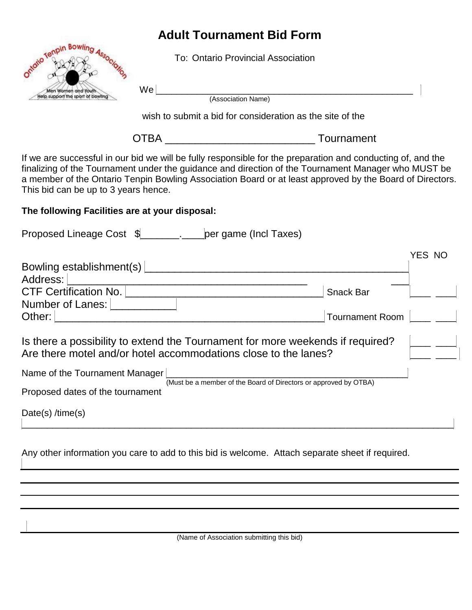## **Adult Tournament Bid Form**

To: Ontario Provincial Association



We \_\_\_\_\_\_\_\_\_\_\_\_\_\_\_\_\_\_\_\_\_\_\_\_\_\_\_\_\_\_\_\_\_\_\_\_\_\_\_\_\_\_\_\_\_\_\_\_\_\_ (Association Name)

wish to submit a bid for consideration as the site of the

OTBA \_\_\_\_\_\_\_\_\_\_\_\_\_\_\_\_\_\_\_\_\_\_\_\_\_ Tournament

If we are successful in our bid we will be fully responsible for the preparation and conducting of, and the finalizing of the Tournament under the guidance and direction of the Tournament Manager who MUST be a member of the Ontario Tenpin Bowling Association Board or at least approved by the Board of Directors. This bid can be up to 3 years hence.

## **The following Facilities are at your disposal:**

| Proposed Lineage Cost \$_______________________ per game (Incl Taxes)                                                                             |                                                                  |        |
|---------------------------------------------------------------------------------------------------------------------------------------------------|------------------------------------------------------------------|--------|
|                                                                                                                                                   |                                                                  | YES NO |
| Bowling establishment(s)                                                                                                                          |                                                                  |        |
| Address:                                                                                                                                          |                                                                  |        |
| <b>CTF Certification No.</b>                                                                                                                      | <b>Snack Bar</b>                                                 |        |
| <b>Number of Lanes:</b>                                                                                                                           |                                                                  |        |
| Other:                                                                                                                                            | <b>Tournament Room</b>                                           |        |
| Is there a possibility to extend the Tournament for more weekends if required?<br>Are there motel and/or hotel accommodations close to the lanes? |                                                                  |        |
| Name of the Tournament Manager                                                                                                                    |                                                                  |        |
| Proposed dates of the tournament                                                                                                                  | (Must be a member of the Board of Directors or approved by OTBA) |        |
| Date(s) $/$ time(s)                                                                                                                               |                                                                  |        |

Any other information you care to add to this bid is welcome. Attach separate sheet if required.